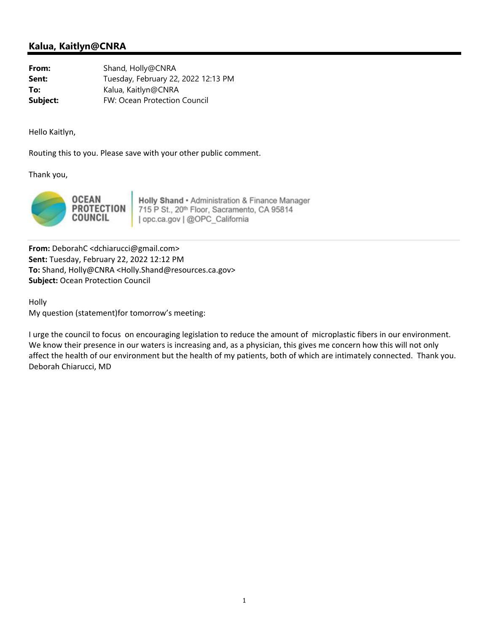## **Kalua, Kaitlyn@CNRA**

**From:** Shand, Holly@CNRA **Sent:** Tuesday, February 22, 2022 12:13 PM **To:** Kalua, Kaitlyn@CNRA **Subject:** FW: Ocean Protection Council

Hello Kaitlyn,

Routing this to you. Please save with your other public comment.

Thank you,



Holly Shand · Administration & Finance Manager 715 P St., 20th Floor, Sacramento, CA 95814 | opc.ca.gov | @OPC\_California

**From:** DeborahC <dchiarucci@gmail.com> **Sent:** Tuesday, February 22, 2022 12:12 PM **To:** Shand, Holly@CNRA <Holly.Shand@resources.ca.gov> **Subject:** Ocean Protection Council

Holly My question (statement)for tomorrow's meeting:

I urge the council to focus on encouraging legislation to reduce the amount of microplastic fibers in our environment. We know their presence in our waters is increasing and, as a physician, this gives me concern how this will not only affect the health of our environment but the health of my patients, both of which are intimately connected. Thank you. Deborah Chiarucci, MD